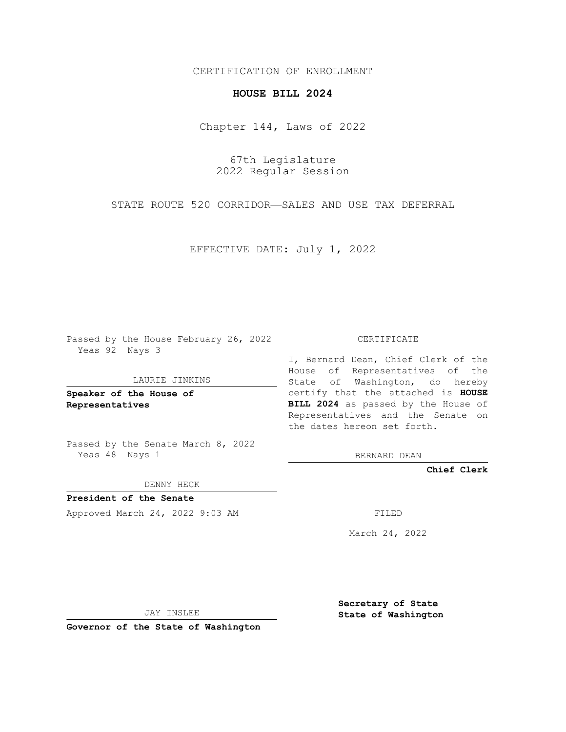## CERTIFICATION OF ENROLLMENT

# **HOUSE BILL 2024**

Chapter 144, Laws of 2022

67th Legislature 2022 Regular Session

STATE ROUTE 520 CORRIDOR—SALES AND USE TAX DEFERRAL

EFFECTIVE DATE: July 1, 2022

Passed by the House February 26, 2022 Yeas 92 Nays 3

#### LAURIE JINKINS

**Speaker of the House of Representatives**

Passed by the Senate March 8, 2022 Yeas 48 Nays 1

DENNY HECK

**President of the Senate** Approved March 24, 2022 9:03 AM FILED

CERTIFICATE

I, Bernard Dean, Chief Clerk of the House of Representatives of the State of Washington, do hereby certify that the attached is **HOUSE BILL 2024** as passed by the House of Representatives and the Senate on the dates hereon set forth.

BERNARD DEAN

**Chief Clerk**

March 24, 2022

JAY INSLEE

**Governor of the State of Washington**

**Secretary of State State of Washington**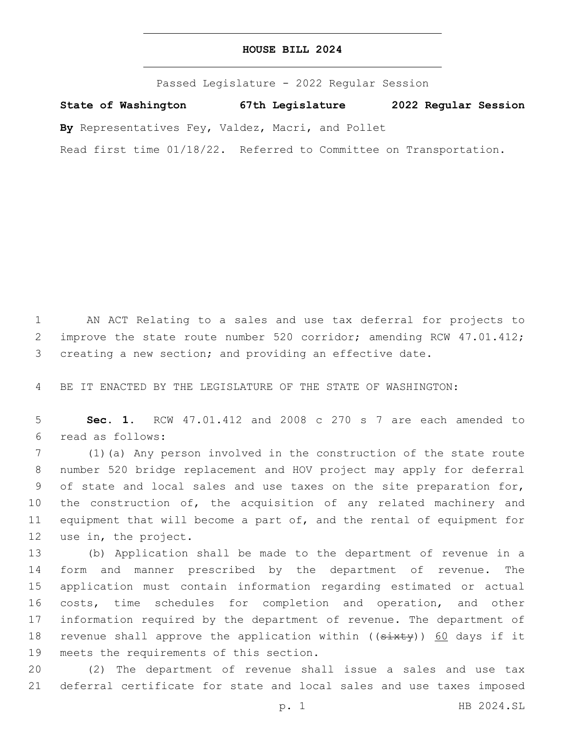## **HOUSE BILL 2024**

Passed Legislature - 2022 Regular Session

**State of Washington 67th Legislature 2022 Regular Session**

**By** Representatives Fey, Valdez, Macri, and Pollet

Read first time 01/18/22. Referred to Committee on Transportation.

1 AN ACT Relating to a sales and use tax deferral for projects to 2 improve the state route number 520 corridor; amending RCW 47.01.412; 3 creating a new section; and providing an effective date.

4 BE IT ENACTED BY THE LEGISLATURE OF THE STATE OF WASHINGTON:

5 **Sec. 1.** RCW 47.01.412 and 2008 c 270 s 7 are each amended to read as follows:6

 (1)(a) Any person involved in the construction of the state route number 520 bridge replacement and HOV project may apply for deferral of state and local sales and use taxes on the site preparation for, 10 the construction of, the acquisition of any related machinery and equipment that will become a part of, and the rental of equipment for 12 use in, the project.

 (b) Application shall be made to the department of revenue in a form and manner prescribed by the department of revenue. The application must contain information regarding estimated or actual costs, time schedules for completion and operation, and other information required by the department of revenue. The department of 18 revenue shall approve the application within ((sixty)) 60 days if it 19 meets the requirements of this section.

20 (2) The department of revenue shall issue a sales and use tax 21 deferral certificate for state and local sales and use taxes imposed